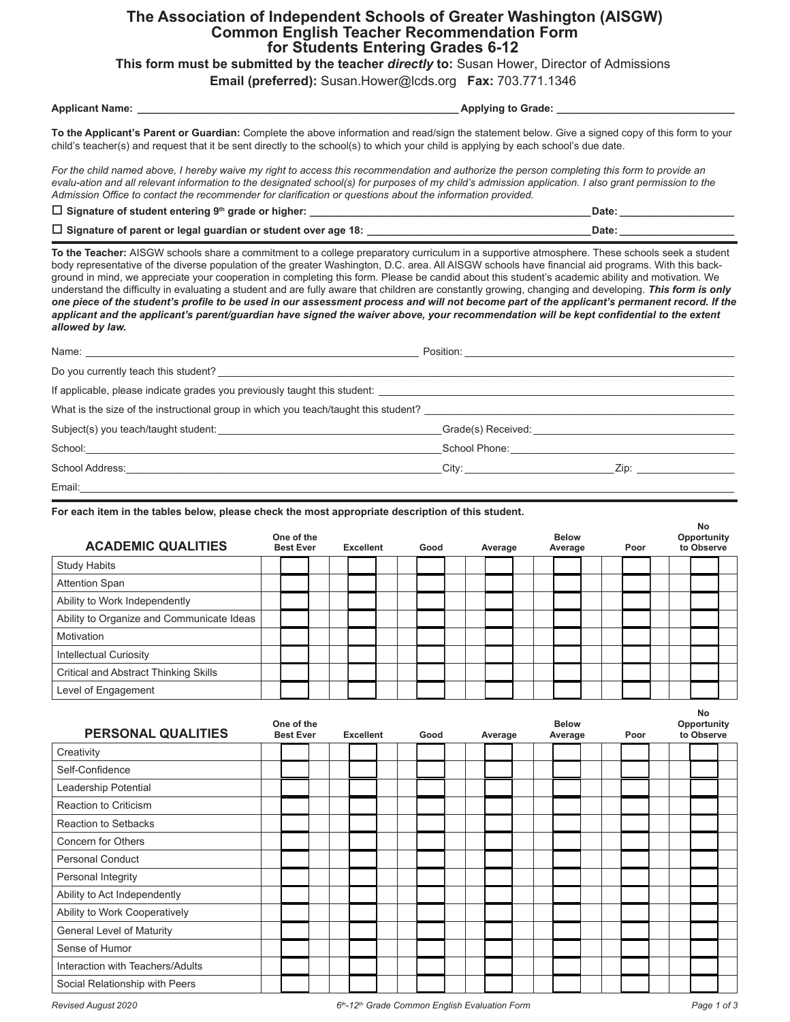## **The Association of Independent Schools of Greater Washington (AISGW) Common English Teacher Recommendation Form for Students Entering Grades 6-12**

**This form must be submitted by the teacher** *directly* **to:** Susan Hower, Director of Admissions

**Email (preferred):** Susan.Hower@lcds.org **Fax:** 703.771.1346

**Applicant Name: Applicant Name: Applicant Name: Applying to Grade:**  $\blacksquare$ 

**To the Applicant's Parent or Guardian:** Complete the above information and read/sign the statement below. Give a signed copy of this form to your child's teacher(s) and request that it be sent directly to the school(s) to which your child is applying by each school's due date.

For the child named above, I hereby waive my right to access this recommendation and authorize the person completing this form to provide an *evalu-ation and all relevant information to the designated school(s) for purposes of my child's admission application. I also grant permission to the Admission Office to contact the recommender for clarification or questions about the information provided.*

| $\Box$ Signature of student entering 9 <sup>th</sup> grade or higher:   | Date: |
|-------------------------------------------------------------------------|-------|
| $\square$ Signature of parent or legal guardian or student over age 18: | Date: |

**To the Teacher:** AISGW schools share a commitment to a college preparatory curriculum in a supportive atmosphere. These schools seek a student body representative of the diverse population of the greater Washington, D.C. area. All AISGW schools have financial aid programs. With this background in mind, we appreciate your cooperation in completing this form. Please be candid about this student's academic ability and motivation. We understand the difficulty in evaluating a student and are fully aware that children are constantly growing, changing and developing. *This form is only one piece of the student's profile to be used in our assessment process and will not become part of the applicant's permanent record. If the* applicant and the applicant's parent/guardian have signed the waiver above, your recommendation will be kept confidential to the extent *allowed by law.*

|                                                                                                                                                                                                                                 | Position:                                                                                                                                                                                                                      |  |
|---------------------------------------------------------------------------------------------------------------------------------------------------------------------------------------------------------------------------------|--------------------------------------------------------------------------------------------------------------------------------------------------------------------------------------------------------------------------------|--|
| Do you currently teach this student?<br>The manufacturer of the contract of the contract of the contract of the contract of the contract of the contract of the contract of the contract of the contract of the contract of the |                                                                                                                                                                                                                                |  |
|                                                                                                                                                                                                                                 |                                                                                                                                                                                                                                |  |
| What is the size of the instructional group in which you teach/taught this student?                                                                                                                                             |                                                                                                                                                                                                                                |  |
|                                                                                                                                                                                                                                 | Grade(s) Received: Entertainment of the state of the state of the state of the state of the state of the state of the state of the state of the state of the state of the state of the state of the state of the state of the  |  |
|                                                                                                                                                                                                                                 |                                                                                                                                                                                                                                |  |
|                                                                                                                                                                                                                                 | City: the contract of the contract of the contract of the contract of the contract of the contract of the contract of the contract of the contract of the contract of the contract of the contract of the contract of the cont |  |
| Email:                                                                                                                                                                                                                          |                                                                                                                                                                                                                                |  |

**For each item in the tables below, please check the most appropriate description of this student.**

| <b>ACADEMIC QUALITIES</b>                 |  |  |  | One of the<br><b>Best Ever</b> |  |  |  |  |  |  |  |  |  |  |  | <b>Excellent</b> |  | Good |  | Average |  |  |  | <b>Below</b><br>Average | Poor | No<br>Opportunity<br>to Observe |  |  |
|-------------------------------------------|--|--|--|--------------------------------|--|--|--|--|--|--|--|--|--|--|--|------------------|--|------|--|---------|--|--|--|-------------------------|------|---------------------------------|--|--|
| <b>Study Habits</b>                       |  |  |  |                                |  |  |  |  |  |  |  |  |  |  |  |                  |  |      |  |         |  |  |  |                         |      |                                 |  |  |
| <b>Attention Span</b>                     |  |  |  |                                |  |  |  |  |  |  |  |  |  |  |  |                  |  |      |  |         |  |  |  |                         |      |                                 |  |  |
| Ability to Work Independently             |  |  |  |                                |  |  |  |  |  |  |  |  |  |  |  |                  |  |      |  |         |  |  |  |                         |      |                                 |  |  |
| Ability to Organize and Communicate Ideas |  |  |  |                                |  |  |  |  |  |  |  |  |  |  |  |                  |  |      |  |         |  |  |  |                         |      |                                 |  |  |
| Motivation                                |  |  |  |                                |  |  |  |  |  |  |  |  |  |  |  |                  |  |      |  |         |  |  |  |                         |      |                                 |  |  |
| <b>Intellectual Curiosity</b>             |  |  |  |                                |  |  |  |  |  |  |  |  |  |  |  |                  |  |      |  |         |  |  |  |                         |      |                                 |  |  |
| Critical and Abstract Thinking Skills     |  |  |  |                                |  |  |  |  |  |  |  |  |  |  |  |                  |  |      |  |         |  |  |  |                         |      |                                 |  |  |
| Level of Engagement                       |  |  |  |                                |  |  |  |  |  |  |  |  |  |  |  |                  |  |      |  |         |  |  |  |                         |      |                                 |  |  |

| PERSONAL QUALITIES               |  | One of the<br><b>Best Ever</b> |  |  | <b>Excellent</b> |  |  | Good |  |  | Average |  |  | <b>Below</b><br>Average |  |  | Poor |  |  | to Observe | Opportunity |  |
|----------------------------------|--|--------------------------------|--|--|------------------|--|--|------|--|--|---------|--|--|-------------------------|--|--|------|--|--|------------|-------------|--|
| Creativity                       |  |                                |  |  |                  |  |  |      |  |  |         |  |  |                         |  |  |      |  |  |            |             |  |
| Self-Confidence                  |  |                                |  |  |                  |  |  |      |  |  |         |  |  |                         |  |  |      |  |  |            |             |  |
| Leadership Potential             |  |                                |  |  |                  |  |  |      |  |  |         |  |  |                         |  |  |      |  |  |            |             |  |
| Reaction to Criticism            |  |                                |  |  |                  |  |  |      |  |  |         |  |  |                         |  |  |      |  |  |            |             |  |
| <b>Reaction to Setbacks</b>      |  |                                |  |  |                  |  |  |      |  |  |         |  |  |                         |  |  |      |  |  |            |             |  |
| Concern for Others               |  |                                |  |  |                  |  |  |      |  |  |         |  |  |                         |  |  |      |  |  |            |             |  |
| <b>Personal Conduct</b>          |  |                                |  |  |                  |  |  |      |  |  |         |  |  |                         |  |  |      |  |  |            |             |  |
| Personal Integrity               |  |                                |  |  |                  |  |  |      |  |  |         |  |  |                         |  |  |      |  |  |            |             |  |
| Ability to Act Independently     |  |                                |  |  |                  |  |  |      |  |  |         |  |  |                         |  |  |      |  |  |            |             |  |
| Ability to Work Cooperatively    |  |                                |  |  |                  |  |  |      |  |  |         |  |  |                         |  |  |      |  |  |            |             |  |
| <b>General Level of Maturity</b> |  |                                |  |  |                  |  |  |      |  |  |         |  |  |                         |  |  |      |  |  |            |             |  |
| Sense of Humor                   |  |                                |  |  |                  |  |  |      |  |  |         |  |  |                         |  |  |      |  |  |            |             |  |
| Interaction with Teachers/Adults |  |                                |  |  |                  |  |  |      |  |  |         |  |  |                         |  |  |      |  |  |            |             |  |
| Social Relationship with Peers   |  |                                |  |  |                  |  |  |      |  |  |         |  |  |                         |  |  |      |  |  |            |             |  |

**No**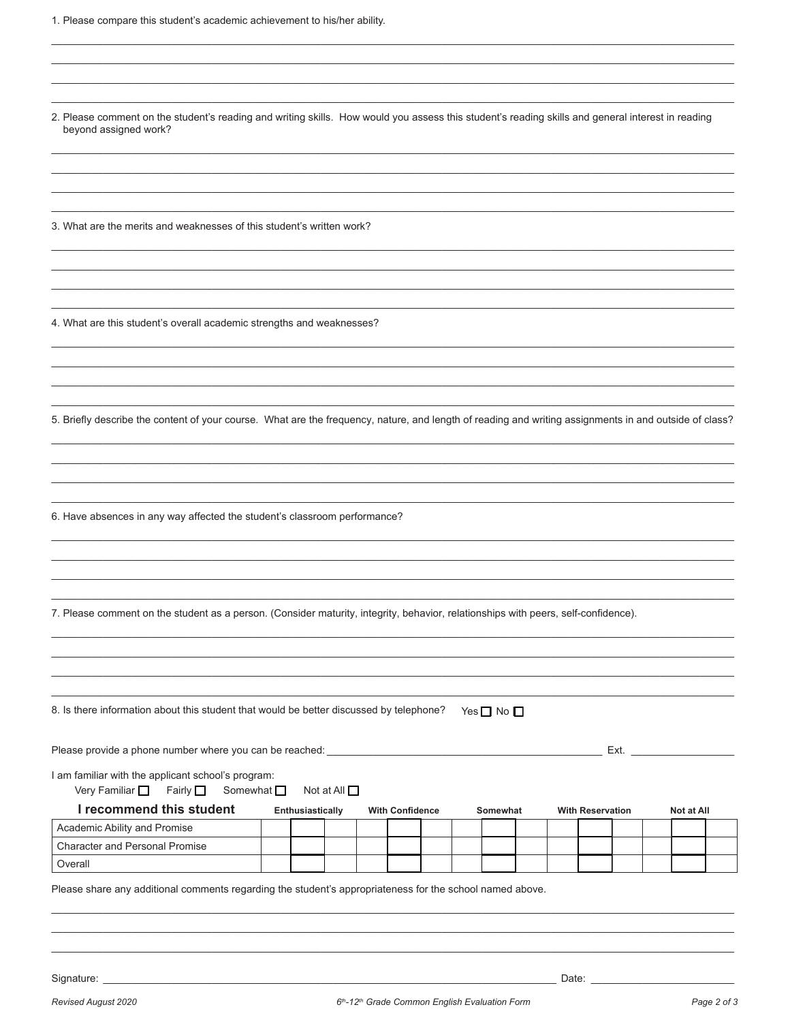| 2. Please comment on the student's reading and writing skills. How would you assess this student's reading skills and general interest in reading<br>beyond assigned work? |                    |                  |                   |                        |  |            |                         |            |  |
|----------------------------------------------------------------------------------------------------------------------------------------------------------------------------|--------------------|------------------|-------------------|------------------------|--|------------|-------------------------|------------|--|
|                                                                                                                                                                            |                    |                  |                   |                        |  |            |                         |            |  |
|                                                                                                                                                                            |                    |                  |                   |                        |  |            |                         |            |  |
| 3. What are the merits and weaknesses of this student's written work?                                                                                                      |                    |                  |                   |                        |  |            |                         |            |  |
|                                                                                                                                                                            |                    |                  |                   |                        |  |            |                         |            |  |
| 4. What are this student's overall academic strengths and weaknesses?                                                                                                      |                    |                  |                   |                        |  |            |                         |            |  |
|                                                                                                                                                                            |                    |                  |                   |                        |  |            |                         |            |  |
| 5. Briefly describe the content of your course. What are the frequency, nature, and length of reading and writing assignments in and outside of class?                     |                    |                  |                   |                        |  |            |                         |            |  |
|                                                                                                                                                                            |                    |                  |                   |                        |  |            |                         |            |  |
|                                                                                                                                                                            |                    |                  |                   |                        |  |            |                         |            |  |
| 6. Have absences in any way affected the student's classroom performance?                                                                                                  |                    |                  |                   |                        |  |            |                         |            |  |
|                                                                                                                                                                            |                    |                  |                   |                        |  |            |                         |            |  |
| 7. Please comment on the student as a person. (Consider maturity, integrity, behavior, relationships with peers, self-confidence).                                         |                    |                  |                   |                        |  |            |                         |            |  |
|                                                                                                                                                                            |                    |                  |                   |                        |  |            |                         |            |  |
|                                                                                                                                                                            |                    |                  |                   |                        |  |            |                         |            |  |
| 8. Is there information about this student that would be better discussed by telephone?                                                                                    |                    |                  |                   |                        |  | Yes □ No □ |                         |            |  |
|                                                                                                                                                                            |                    |                  |                   |                        |  |            |                         |            |  |
| I am familiar with the applicant school's program:<br>Very Familiar $\Box$ Fairly $\Box$                                                                                   | Somewhat $\square$ |                  | Not at All $\Box$ |                        |  |            |                         |            |  |
| I recommend this student                                                                                                                                                   |                    | Enthusiastically |                   | <b>With Confidence</b> |  | Somewhat   | <b>With Reservation</b> | Not at All |  |
| Academic Ability and Promise                                                                                                                                               |                    |                  |                   |                        |  |            |                         |            |  |
| <b>Character and Personal Promise</b>                                                                                                                                      |                    |                  |                   |                        |  |            |                         |            |  |
| Overall                                                                                                                                                                    |                    |                  |                   |                        |  |            |                         |            |  |
| Please share any additional comments regarding the student's appropriateness for the school named above.                                                                   |                    |                  |                   |                        |  |            |                         |            |  |
|                                                                                                                                                                            |                    |                  |                   |                        |  |            |                         |            |  |
| Signature: _                                                                                                                                                               |                    |                  |                   |                        |  |            | Date:                   |            |  |